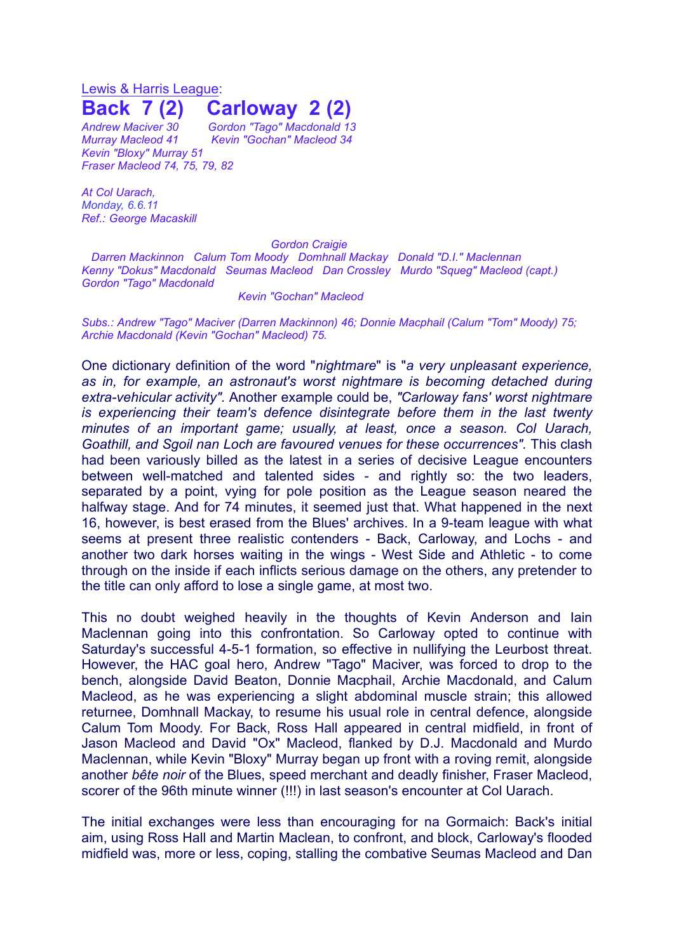## Lewis & Harris League: **Back 7 (2) Carloway 2 (2)**

*Andrew Maciver 30 Gordon "Tago" Macdonald 13 Murray Macleod 41 Kevin "Gochan" Macleod 34 Kevin "Bloxy" Murray 51 Fraser Macleod 74, 75, 79, 82*

*At Col Uarach, Monday, 6.6.11 Ref.: George Macaskill*

## *Gordon Craigie*

*Darren Mackinnon Calum Tom Moody Domhnall Mackay Donald "D.I." Maclennan Kenny "Dokus" Macdonald Seumas Macleod Dan Crossley Murdo "Squeg" Macleod (capt.) Gordon "Tago" Macdonald*

## *Kevin "Gochan" Macleod*

*Subs.: Andrew "Tago" Maciver (Darren Mackinnon) 46; Donnie Macphail (Calum "Tom" Moody) 75; Archie Macdonald (Kevin "Gochan" Macleod) 75.*

One dictionary definition of the word "*nightmare*" is "*a very unpleasant experience, as in, for example, an astronaut's worst nightmare is becoming detached during extra-vehicular activity".* Another example could be, *"Carloway fans' worst nightmare is experiencing their team's defence disintegrate before them in the last twenty minutes of an important game; usually, at least, once a season. Col Uarach, Goathill, and Sgoil nan Loch are favoured venues for these occurrences".* This clash had been variously billed as the latest in a series of decisive League encounters between well-matched and talented sides - and rightly so: the two leaders, separated by a point, vying for pole position as the League season neared the halfway stage. And for 74 minutes, it seemed just that. What happened in the next 16, however, is best erased from the Blues' archives. In a 9-team league with what seems at present three realistic contenders - Back, Carloway, and Lochs - and another two dark horses waiting in the wings - West Side and Athletic - to come through on the inside if each inflicts serious damage on the others, any pretender to the title can only afford to lose a single game, at most two.

This no doubt weighed heavily in the thoughts of Kevin Anderson and Iain Maclennan going into this confrontation. So Carloway opted to continue with Saturday's successful 4-5-1 formation, so effective in nullifying the Leurbost threat. However, the HAC goal hero, Andrew "Tago" Maciver, was forced to drop to the bench, alongside David Beaton, Donnie Macphail, Archie Macdonald, and Calum Macleod, as he was experiencing a slight abdominal muscle strain; this allowed returnee, Domhnall Mackay, to resume his usual role in central defence, alongside Calum Tom Moody. For Back, Ross Hall appeared in central midfield, in front of Jason Macleod and David "Ox" Macleod, flanked by D.J. Macdonald and Murdo Maclennan, while Kevin "Bloxy" Murray began up front with a roving remit, alongside another *bête noir* of the Blues, speed merchant and deadly finisher, Fraser Macleod, scorer of the 96th minute winner (!!!) in last season's encounter at Col Uarach.

The initial exchanges were less than encouraging for na Gormaich: Back's initial aim, using Ross Hall and Martin Maclean, to confront, and block, Carloway's flooded midfield was, more or less, coping, stalling the combative Seumas Macleod and Dan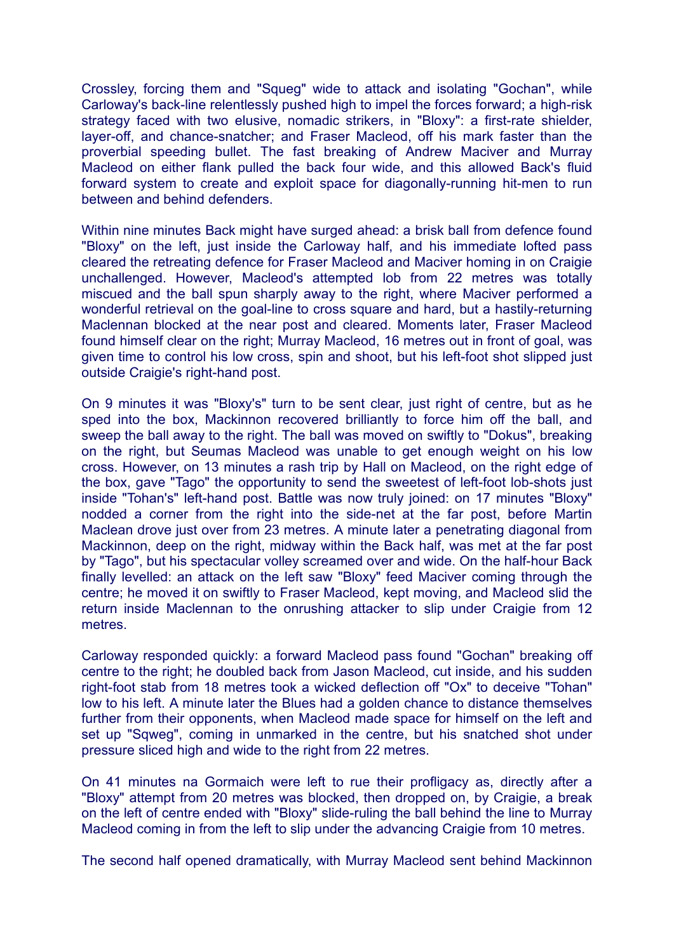Crossley, forcing them and "Squeg" wide to attack and isolating "Gochan", while Carloway's back-line relentlessly pushed high to impel the forces forward; a high-risk strategy faced with two elusive, nomadic strikers, in "Bloxy": a first-rate shielder, layer-off, and chance-snatcher; and Fraser Macleod, off his mark faster than the proverbial speeding bullet. The fast breaking of Andrew Maciver and Murray Macleod on either flank pulled the back four wide, and this allowed Back's fluid forward system to create and exploit space for diagonally-running hit-men to run between and behind defenders.

Within nine minutes Back might have surged ahead: a brisk ball from defence found "Bloxy" on the left, just inside the Carloway half, and his immediate lofted pass cleared the retreating defence for Fraser Macleod and Maciver homing in on Craigie unchallenged. However, Macleod's attempted lob from 22 metres was totally miscued and the ball spun sharply away to the right, where Maciver performed a wonderful retrieval on the goal-line to cross square and hard, but a hastily-returning Maclennan blocked at the near post and cleared. Moments later, Fraser Macleod found himself clear on the right; Murray Macleod, 16 metres out in front of goal, was given time to control his low cross, spin and shoot, but his left-foot shot slipped just outside Craigie's right-hand post.

On 9 minutes it was "Bloxy's" turn to be sent clear, just right of centre, but as he sped into the box, Mackinnon recovered brilliantly to force him off the ball, and sweep the ball away to the right. The ball was moved on swiftly to "Dokus", breaking on the right, but Seumas Macleod was unable to get enough weight on his low cross. However, on 13 minutes a rash trip by Hall on Macleod, on the right edge of the box, gave "Tago" the opportunity to send the sweetest of left-foot lob-shots just inside "Tohan's" left-hand post. Battle was now truly joined: on 17 minutes "Bloxy" nodded a corner from the right into the side-net at the far post, before Martin Maclean drove just over from 23 metres. A minute later a penetrating diagonal from Mackinnon, deep on the right, midway within the Back half, was met at the far post by "Tago", but his spectacular volley screamed over and wide. On the half-hour Back finally levelled: an attack on the left saw "Bloxy" feed Maciver coming through the centre; he moved it on swiftly to Fraser Macleod, kept moving, and Macleod slid the return inside Maclennan to the onrushing attacker to slip under Craigie from 12 metres.

Carloway responded quickly: a forward Macleod pass found "Gochan" breaking off centre to the right; he doubled back from Jason Macleod, cut inside, and his sudden right-foot stab from 18 metres took a wicked deflection off "Ox" to deceive "Tohan" low to his left. A minute later the Blues had a golden chance to distance themselves further from their opponents, when Macleod made space for himself on the left and set up "Sqweg", coming in unmarked in the centre, but his snatched shot under pressure sliced high and wide to the right from 22 metres.

On 41 minutes na Gormaich were left to rue their profligacy as, directly after a "Bloxy" attempt from 20 metres was blocked, then dropped on, by Craigie, a break on the left of centre ended with "Bloxy" slide-ruling the ball behind the line to Murray Macleod coming in from the left to slip under the advancing Craigie from 10 metres.

The second half opened dramatically, with Murray Macleod sent behind Mackinnon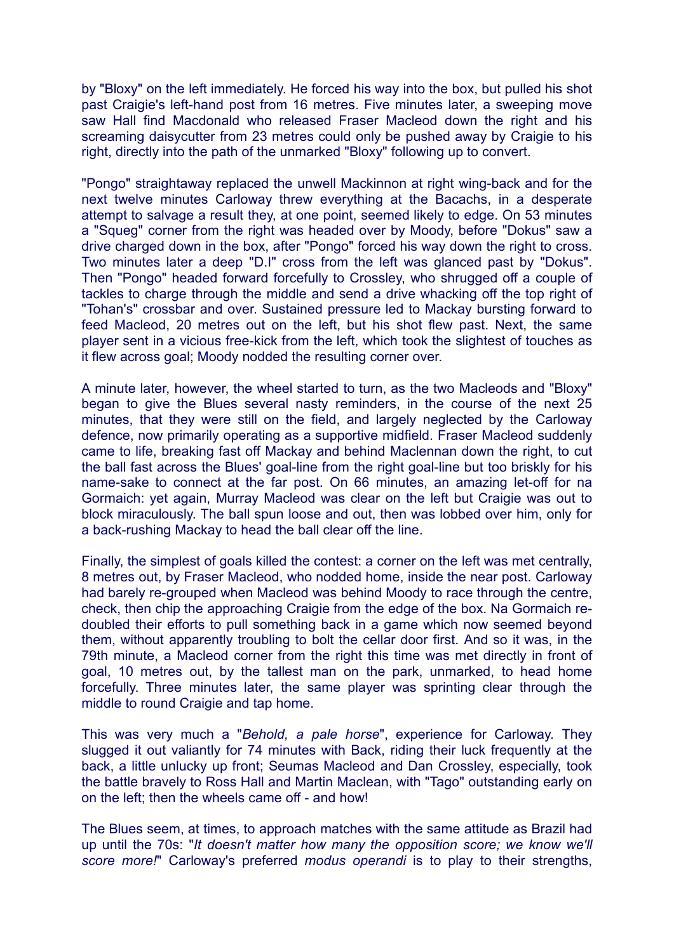by "Bloxy" on the left immediately. He forced his way into the box, but pulled his shot past Craigie's left-hand post from 16 metres. Five minutes later, a sweeping move saw Hall find Macdonald who released Fraser Macleod down the right and his screaming daisycutter from 23 metres could only be pushed away by Craigie to his right, directly into the path of the unmarked "Bloxy" following up to convert.

"Pongo" straightaway replaced the unwell Mackinnon at right wing-back and for the next twelve minutes Carloway threw everything at the Bacachs, in a desperate attempt to salvage a result they, at one point, seemed likely to edge. On 53 minutes a "Squeg" corner from the right was headed over by Moody, before "Dokus" saw a drive charged down in the box, after "Pongo" forced his way down the right to cross. Two minutes later a deep "D.I" cross from the left was glanced past by "Dokus". Then "Pongo" headed forward forcefully to Crossley, who shrugged off a couple of tackles to charge through the middle and send a drive whacking off the top right of "Tohan's" crossbar and over. Sustained pressure led to Mackay bursting forward to feed Macleod, 20 metres out on the left, but his shot flew past. Next, the same player sent in a vicious free-kick from the left, which took the slightest of touches as it flew across goal; Moody nodded the resulting corner over.

A minute later, however, the wheel started to turn, as the two Macleods and "Bloxy" began to give the Blues several nasty reminders, in the course of the next 25 minutes, that they were still on the field, and largely neglected by the Carloway defence, now primarily operating as a supportive midfield. Fraser Macleod suddenly came to life, breaking fast off Mackay and behind Maclennan down the right, to cut the ball fast across the Blues' goal-line from the right goal-line but too briskly for his name-sake to connect at the far post. On 66 minutes, an amazing let-off for na Gormaich: yet again, Murray Macleod was clear on the left but Craigie was out to block miraculously. The ball spun loose and out, then was lobbed over him, only for a back-rushing Mackay to head the ball clear off the line.

Finally, the simplest of goals killed the contest: a corner on the left was met centrally, 8 metres out, by Fraser Macleod, who nodded home, inside the near post. Carloway had barely re-grouped when Macleod was behind Moody to race through the centre, check, then chip the approaching Craigie from the edge of the box. Na Gormaich redoubled their efforts to pull something back in a game which now seemed beyond them, without apparently troubling to bolt the cellar door first. And so it was, in the 79th minute, a Macleod corner from the right this time was met directly in front of goal, 10 metres out, by the tallest man on the park, unmarked, to head home forcefully. Three minutes later, the same player was sprinting clear through the middle to round Craigie and tap home.

This was very much a "*Behold, a pale horse*", experience for Carloway. They slugged it out valiantly for 74 minutes with Back, riding their luck frequently at the back, a little unlucky up front; Seumas Macleod and Dan Crossley, especially, took the battle bravely to Ross Hall and Martin Maclean, with "Tago" outstanding early on on the left; then the wheels came off - and how!

The Blues seem, at times, to approach matches with the same attitude as Brazil had up until the 70s: "*It doesn't matter how many the opposition score; we know we'll score more!*" Carloway's preferred *modus operandi* is to play to their strengths,